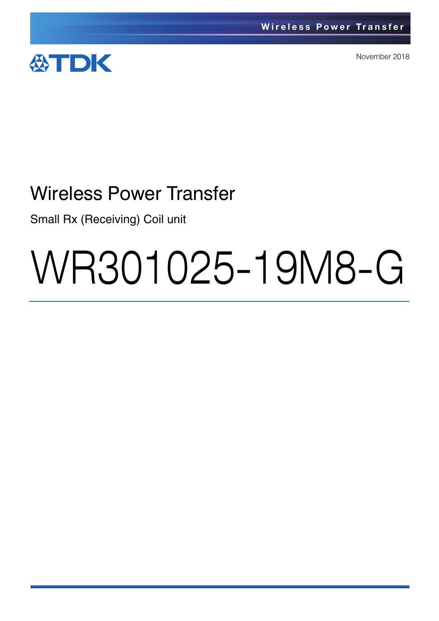

November 2018

# Wireless Power Transfer

Small Rx (Receiving) Coil unit

# WR301025-19M8-G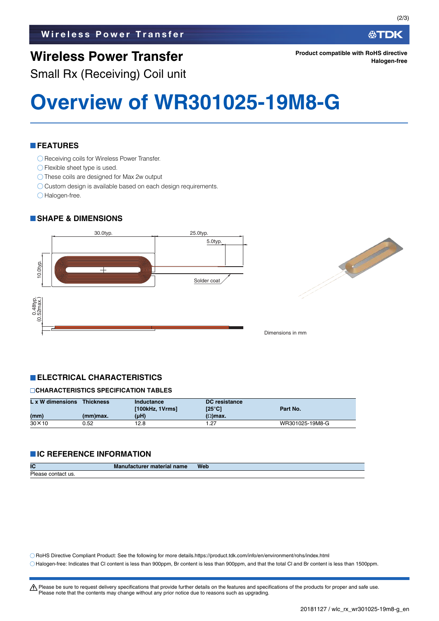## **Wireless Power Transfer**

Small Rx (Receiving) Coil unit

## **Overview of WR301025-19M8-G**

#### **FEATURES**

- ◯ Receiving coils for Wireless Power Transfer.
- ◯ Flexible sheet type is used.
- O These coils are designed for Max 2w output
- O Custom design is available based on each design requirements.
- O Halogen-free.

#### **SHAPE & DIMENSIONS**



#### **ELECTRICAL CHARACTERISTICS**

#### **CHARACTERISTICS SPECIFICATION TABLES**

| L x W dimensions | <b>Thickness</b> | Inductance<br>[100kHz, 1Vrms] | <b>DC</b> resistance<br>$[25^{\circ}C]$ | Part No.        |  |
|------------------|------------------|-------------------------------|-----------------------------------------|-----------------|--|
| (mm)             | (mm)max.         | (µH)                          | $(\Omega)$ max.                         |                 |  |
| $30 \times 10$   | 0.52             | 12.8                          | 27. ا                                   | WR301025-19M8-G |  |

#### **IC REFERENCE INFORMATION**

| IC                 | Manufacturer material name | <b>Web</b> |
|--------------------|----------------------------|------------|
| Please contact us. |                            |            |

RoHS Directive Compliant Product: See the following for more details.https://product.tdk.com/info/en/environment/rohs/index.html Halogen-free: Indicates that Cl content is less than 900ppm, Br content is less than 900ppm, and that the total Cl and Br content is less than 1500ppm.

t Please be sure to request delivery specifications that provide further details on the features and specifications of the products for proper and safe use. Please note that the contents may change without any prior notice due to reasons such as upgrading.

公TDK